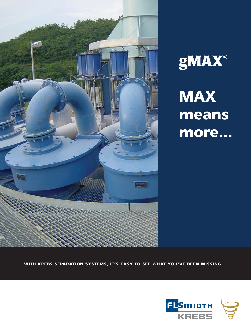



**MAX means more...**

**WITH KREBS SEPARATION SYSTEMS, IT'S EASY TO SEE WHAT YOU'VE BEEN MISSING.**

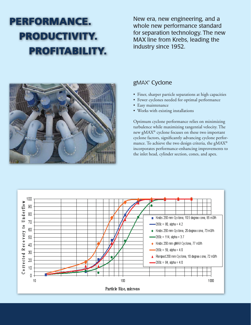## **PERFORMANCE. PRODUCTIVITY. PROFITABILITY.**

New era, new engineering, and a whole new performance standard for separation technology. The new MAX line from Krebs, leading the industry since 1952.



### gMAX® Cyclone

- Finer, sharper particle separations at high capacities
- Fewer cyclones needed for optimal performance
- Easy maintenance
- Works with existing installations

Optimum cyclone performance relies on minimizing turbulence while maximizing tangential velocity. The new gMAX® cyclone focuses on these two important cyclone factors, significantly advancing cyclone performance. To achieve the two design criteria, the gMAX® incorporates performance-enhancing improvements to the inlet head, cylinder section, cones, and apex.

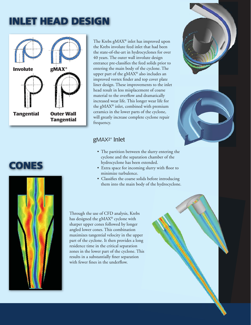### **INLET HEAD DESIGN**







The Krebs gMAX® inlet has improved upon the Krebs involute feed inlet that had been the state-of-the-art in hydrocyclones for over 40 years. The outer wall involute design entrance pre-classifies the feed solids prior to entering the main body of the cyclone. The upper part of the gMAX® also includes an improved vortex finder and top cover plate liner design. These improvements to the inlet head result in less misplacement of coarse material to the overflow and dramatically increased wear life. This longer wear life for the gMAX® inlet, combined with premium ceramics in the lower parts of the cyclone, will greatly increase complete cyclone repair frequency.

### gMAX2® Inlet

- The partition between the slurry entering the cyclone and the separation chamber of the hydrocyclone has been extended.
- Extra space for incoming slurry with floor to minimize turbulence.
- Classifies the coarse solids before introducing them into the main body of the hydrocyclone.

Through the use of CFD analysis, Krebs has designed the gMAX® cyclone with sharper upper cones followed by longer angled lower cones. This combination maximizes tangential velocity in the upper part of the cyclone. It then provides a long residence time in the critical separation zones in the lower part of the cyclone. This results in a substantially finer separation with fewer fines in the underflow.